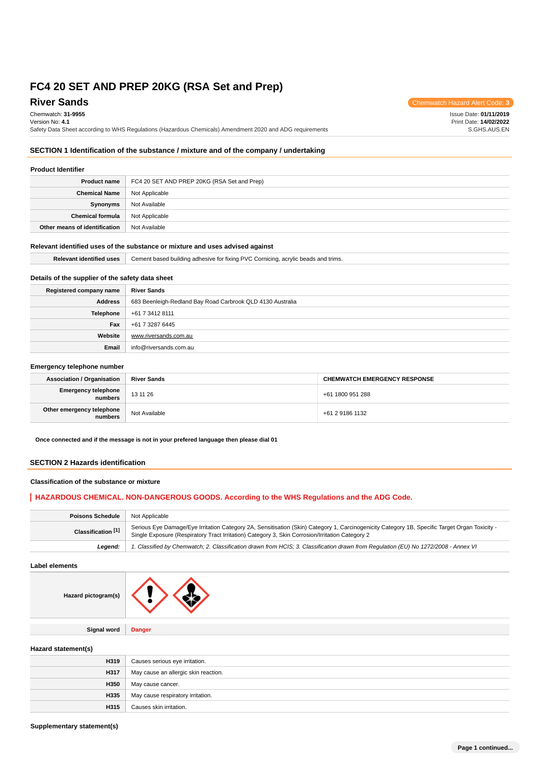# **River Sands** Chemwatch Hazard Alert Code: 3

Chemwatch: **31-9955** Version No: **4.1** Safety Data Sheet according to WHS Regulations (Hazardous Chemicals) Amendment 2020 and ADG requirements Issue Date: **01/11/2019** Print Date: **14/02/2022** S.GHS.AUS.EN

## **SECTION 1 Identification of the substance / mixture and of the company / undertaking**

## **Product Identifier**

| <b>Product name</b>           | FC4 20 SET AND PREP 20KG (RSA Set and Prep) |
|-------------------------------|---------------------------------------------|
| <b>Chemical Name</b>          | Not Applicable                              |
| Synonyms                      | Not Available                               |
| <b>Chemical formula</b>       | Not Applicable                              |
| Other means of identification | Not Available                               |

## **Relevant identified uses of the substance or mixture and uses advised against**

| <b>Relevant identified uses</b> | Cement based building adhesive for fixing PVC Cornicing, acrylic beads and trims. |
|---------------------------------|-----------------------------------------------------------------------------------|
|                                 |                                                                                   |

## **Details of the supplier of the safety data sheet**

| Registered company name | <b>River Sands</b>                                         |
|-------------------------|------------------------------------------------------------|
| <b>Address</b>          | 683 Beenleigh-Redland Bay Road Carbrook QLD 4130 Australia |
| Telephone               | +61 7 3412 8111                                            |
| Fax                     | +61 7 3287 6445                                            |
| Website                 | www.riversands.com.au                                      |
| Email                   | info@riversands.com.au                                     |

#### **Emergency telephone number**

| <b>Association / Organisation</b>    | <b>River Sands</b> | <b>CHEMWATCH EMERGENCY RESPONSE</b> |
|--------------------------------------|--------------------|-------------------------------------|
| Emergency telephone<br>numbers       | 13 11 26           | +61 1800 951 288                    |
| Other emergency telephone<br>numbers | Not Available      | +61 2 9186 1132                     |

**Once connected and if the message is not in your prefered language then please dial 01**

### **SECTION 2 Hazards identification**

## **Classification of the substance or mixture**

## **HAZARDOUS CHEMICAL. NON-DANGEROUS GOODS. According to the WHS Regulations and the ADG Code.**

| <b>Poisons Schedule</b> | Not Applicable                                                                                                                                                                                                                                   |
|-------------------------|--------------------------------------------------------------------------------------------------------------------------------------------------------------------------------------------------------------------------------------------------|
| Classification [1]      | Serious Eye Damage/Eye Irritation Category 2A, Sensitisation (Skin) Category 1, Carcinogenicity Category 1B, Specific Target Organ Toxicity -<br>Single Exposure (Respiratory Tract Irritation) Category 3, Skin Corrosion/Irritation Category 2 |
| Leaend:                 | 1. Classified by Chemwatch; 2. Classification drawn from HCIS; 3. Classification drawn from Regulation (EU) No 1272/2008 - Annex VI                                                                                                              |

**Label elements**

| Hazard pictogram(s) |               |
|---------------------|---------------|
|                     |               |
| <b>Signal word</b>  | <b>Danger</b> |
|                     |               |

### **Hazard statement(s)**

| H319 | Causes serious eye irritation.       |
|------|--------------------------------------|
| H317 | May cause an allergic skin reaction. |
| H350 | May cause cancer.                    |
| H335 | May cause respiratory irritation.    |
| H315 | Causes skin irritation.              |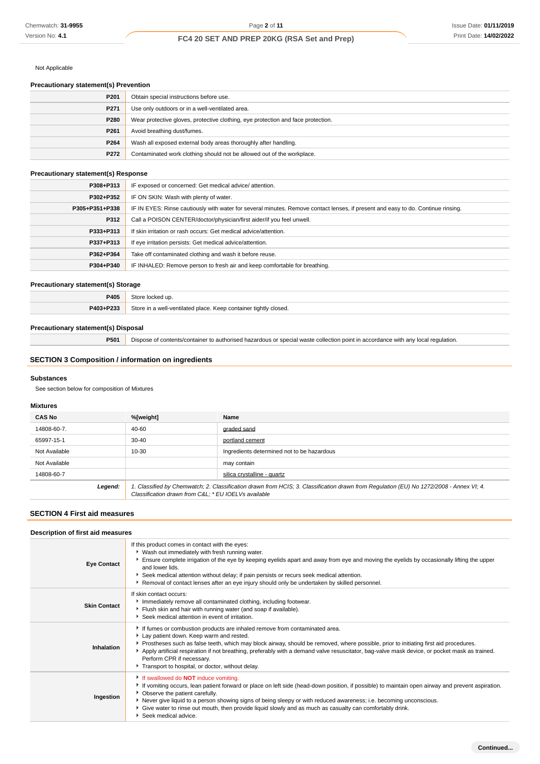### Not Applicable

# **Precautionary statement(s) Prevention**

| P <sub>201</sub> | Obtain special instructions before use.                                          |
|------------------|----------------------------------------------------------------------------------|
| P271             | Use only outdoors or in a well-ventilated area.                                  |
| P280             | Wear protective gloves, protective clothing, eye protection and face protection. |
| P <sub>261</sub> | Avoid breathing dust/fumes.                                                      |
| P <sub>264</sub> | Wash all exposed external body areas thoroughly after handling.                  |
| P272             | Contaminated work clothing should not be allowed out of the workplace.           |

## **Precautionary statement(s) Response**

| P308+P313      | IF exposed or concerned: Get medical advice/attention.                                                                           |
|----------------|----------------------------------------------------------------------------------------------------------------------------------|
| P302+P352      | IF ON SKIN: Wash with plenty of water.                                                                                           |
| P305+P351+P338 | IF IN EYES: Rinse cautiously with water for several minutes. Remove contact lenses, if present and easy to do. Continue rinsing. |
| P312           | Call a POISON CENTER/doctor/physician/first aider/if you feel unwell.                                                            |
| P333+P313      | If skin irritation or rash occurs: Get medical advice/attention.                                                                 |
| P337+P313      | If eye irritation persists: Get medical advice/attention.                                                                        |
| P362+P364      | Take off contaminated clothing and wash it before reuse.                                                                         |
| P304+P340      | IF INHALED: Remove person to fresh air and keep comfortable for breathing.                                                       |

## **Precautionary statement(s) Storage**

| P405      | Store locked up.                                                 |
|-----------|------------------------------------------------------------------|
| P403+P233 | Store in a well-ventilated place. Keep container tightly closed. |
|           |                                                                  |

### **Precautionary statement(s) Disposal**

**P501** Dispose of contents/container to authorised hazardous or special waste collection point in accordance with any local regulation.

## **SECTION 3 Composition / information on ingredients**

#### **Substances**

See section below for composition of Mixtures

## **Mixtures**

| <b>CAS No</b> | %[weight]                                           | Name                                                                                                                                    |
|---------------|-----------------------------------------------------|-----------------------------------------------------------------------------------------------------------------------------------------|
| 14808-60-7.   | 40-60                                               | graded sand                                                                                                                             |
| 65997-15-1    | $30 - 40$                                           | portland cement                                                                                                                         |
| Not Available | 10-30                                               | Ingredients determined not to be hazardous                                                                                              |
| Not Available |                                                     | may contain                                                                                                                             |
| 14808-60-7    |                                                     | silica crystalline - quartz                                                                                                             |
| Legend:       | Classification drawn from C&L * EU IOELVs available | 1. Classified by Chemwatch; 2. Classification drawn from HCIS; 3. Classification drawn from Regulation (EU) No 1272/2008 - Annex VI; 4. |

# **SECTION 4 First aid measures**

## **Description of first aid measures**

| <b>Eye Contact</b>  | If this product comes in contact with the eyes:<br>• Wash out immediately with fresh running water.<br>Ensure complete irrigation of the eye by keeping eyelids apart and away from eye and moving the eyelids by occasionally lifting the upper<br>and lower lids.<br>Seek medical attention without delay; if pain persists or recurs seek medical attention.<br>Removal of contact lenses after an eye injury should only be undertaken by skilled personnel.                                   |
|---------------------|----------------------------------------------------------------------------------------------------------------------------------------------------------------------------------------------------------------------------------------------------------------------------------------------------------------------------------------------------------------------------------------------------------------------------------------------------------------------------------------------------|
| <b>Skin Contact</b> | If skin contact occurs:<br>Immediately remove all contaminated clothing, including footwear.<br>Flush skin and hair with running water (and soap if available).<br>Seek medical attention in event of irritation.                                                                                                                                                                                                                                                                                  |
| Inhalation          | If fumes or combustion products are inhaled remove from contaminated area.<br>Lay patient down. Keep warm and rested.<br>Prostheses such as false teeth, which may block airway, should be removed, where possible, prior to initiating first aid procedures.<br>Apply artificial respiration if not breathing, preferably with a demand valve resuscitator, bag-valve mask device, or pocket mask as trained.<br>Perform CPR if necessary.<br>Transport to hospital, or doctor, without delay.    |
| Ingestion           | If swallowed do <b>NOT</b> induce vomiting.<br>► If vomiting occurs, lean patient forward or place on left side (head-down position, if possible) to maintain open airway and prevent aspiration.<br>• Observe the patient carefully.<br>▶ Never give liquid to a person showing signs of being sleepy or with reduced awareness; i.e. becoming unconscious.<br>• Give water to rinse out mouth, then provide liquid slowly and as much as casualty can comfortably drink.<br>Seek medical advice. |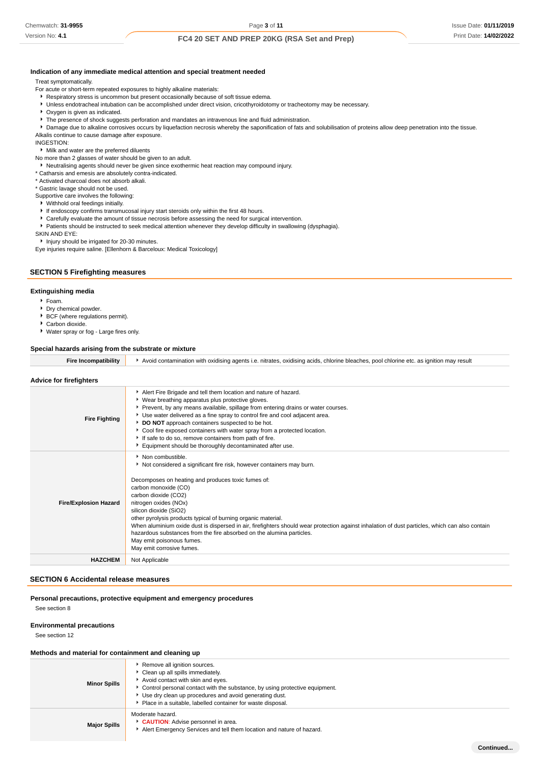Version No: **4.1**

## **Indication of any immediate medical attention and special treatment needed**

Treat symptomatically.

- For acute or short-term repeated exposures to highly alkaline materials:
- Respiratory stress is uncommon but present occasionally because of soft tissue edema.
- Unless endotracheal intubation can be accomplished under direct vision, cricothyroidotomy or tracheotomy may be necessary.
- Oxygen is given as indicated.
- **F** The presence of shock suggests perforation and mandates an intravenous line and fluid administration.
- **P** Damage due to alkaline corrosives occurs by liquefaction necrosis whereby the saponification of fats and solubilisation of proteins allow deep penetration into the tissue.

Alkalis continue to cause damage after exposure.

INGESTION:

Milk and water are the preferred diluents

No more than 2 glasses of water should be given to an adult.

- Neutralising agents should never be given since exothermic heat reaction may compound injury.
- \* Catharsis and emesis are absolutely contra-indicated.
- \* Activated charcoal does not absorb alkali.
- \* Gastric lavage should not be used.
- Supportive care involves the following:
- Withhold oral feedings initially.
- If endoscopy confirms transmucosal injury start steroids only within the first 48 hours.
- Carefully evaluate the amount of tissue necrosis before assessing the need for surgical intervention.
- Patients should be instructed to seek medical attention whenever they develop difficulty in swallowing (dysphagia).

SKIN AND EYE:

**Injury should be irrigated for 20-30 minutes.** 

Eye injuries require saline. [Ellenhorn & Barceloux: Medical Toxicology]

## **SECTION 5 Firefighting measures**

#### **Extinguishing media**

- Foam.
- Dry chemical powder. ▶ BCF (where regulations permit).
- ▶ Carbon dioxide.
- Water spray or fog Large fires only.

#### **Special hazards arising from the substrate or mixture**

**Fire Incompatibility Avoid contamination with oxidising agents i.e. nitrates, oxidising acids, chlorine bleaches, pool chlorine etc. as ignition may result** 

## **Advice for firefighters**

| <b>Fire Fighting</b>         | Alert Fire Brigade and tell them location and nature of hazard.<br>▶ Wear breathing apparatus plus protective gloves.<br>Prevent, by any means available, spillage from entering drains or water courses.<br>Use water delivered as a fine spray to control fire and cool adjacent area.<br>DO NOT approach containers suspected to be hot.<br>Cool fire exposed containers with water spray from a protected location.<br>If safe to do so, remove containers from path of fire.<br>Equipment should be thoroughly decontaminated after use.                                                            |
|------------------------------|----------------------------------------------------------------------------------------------------------------------------------------------------------------------------------------------------------------------------------------------------------------------------------------------------------------------------------------------------------------------------------------------------------------------------------------------------------------------------------------------------------------------------------------------------------------------------------------------------------|
| <b>Fire/Explosion Hazard</b> | Non combustible.<br>Not considered a significant fire risk, however containers may burn.<br>Decomposes on heating and produces toxic fumes of:<br>carbon monoxide (CO)<br>carbon dioxide (CO2)<br>nitrogen oxides (NOx)<br>silicon dioxide (SiO2)<br>other pyrolysis products typical of burning organic material.<br>When aluminium oxide dust is dispersed in air, firefighters should wear protection against inhalation of dust particles, which can also contain<br>hazardous substances from the fire absorbed on the alumina particles.<br>May emit poisonous fumes.<br>May emit corrosive fumes. |
| <b>HAZCHEM</b>               | Not Applicable                                                                                                                                                                                                                                                                                                                                                                                                                                                                                                                                                                                           |

## **SECTION 6 Accidental release measures**

#### **Personal precautions, protective equipment and emergency procedures**

See section 8

#### **Environmental precautions**

See section 12

#### **Methods and material for containment and cleaning up**

| <b>Minor Spills</b> | Remove all ignition sources.<br>Clean up all spills immediately.<br>Avoid contact with skin and eyes.<br>► Control personal contact with the substance, by using protective equipment.<br>▶ Use dry clean up procedures and avoid generating dust.<br>Place in a suitable, labelled container for waste disposal. |
|---------------------|-------------------------------------------------------------------------------------------------------------------------------------------------------------------------------------------------------------------------------------------------------------------------------------------------------------------|
| <b>Major Spills</b> | Moderate hazard.<br>CAUTION: Advise personnel in area.<br>Alert Emergency Services and tell them location and nature of hazard.                                                                                                                                                                                   |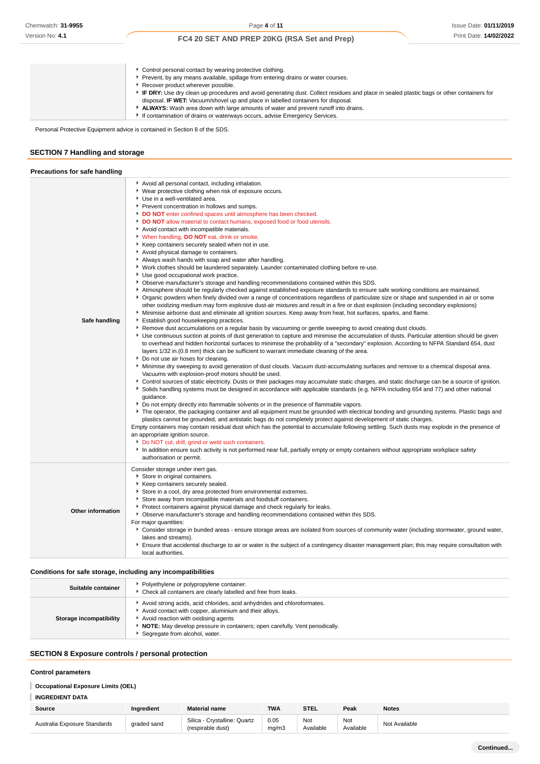| • Control personal contact by wearing protective clothing.                                                                               |
|------------------------------------------------------------------------------------------------------------------------------------------|
| Prevent, by any means available, spillage from entering drains or water courses.                                                         |
| Recover product wherever possible.                                                                                                       |
| IF DRY: Use dry clean up procedures and avoid generating dust. Collect residues and place in sealed plastic bags or other containers for |
| disposal. IF WET: Vacuum/shovel up and place in labelled containers for disposal.                                                        |
| ALWAYS: Wash area down with large amounts of water and prevent runoff into drains.                                                       |
| If contamination of drains or waterways occurs, advise Emergency Services.                                                               |

Personal Protective Equipment advice is contained in Section 8 of the SDS.

## **SECTION 7 Handling and storage**

| Precautions for safe handling |                                                                                                                                                                                                                                                                                                                                                                                                                                                                                                                                                                                                                                                                                                                                                                                                                                                                                                                                                                                                                                                                                                                                                                                                                                                                                                                                                                                                                                                                                                                                                                                                                                                                                                                                                                                                                                                                                                                                                                                                                                                                                                                                                                                                                                                                                                                                                                                                                                                                                                                                                                                                                                                                                                                                                                                                                                                                                                                                                                                                                                                                                                                                                                                                                                                              |
|-------------------------------|--------------------------------------------------------------------------------------------------------------------------------------------------------------------------------------------------------------------------------------------------------------------------------------------------------------------------------------------------------------------------------------------------------------------------------------------------------------------------------------------------------------------------------------------------------------------------------------------------------------------------------------------------------------------------------------------------------------------------------------------------------------------------------------------------------------------------------------------------------------------------------------------------------------------------------------------------------------------------------------------------------------------------------------------------------------------------------------------------------------------------------------------------------------------------------------------------------------------------------------------------------------------------------------------------------------------------------------------------------------------------------------------------------------------------------------------------------------------------------------------------------------------------------------------------------------------------------------------------------------------------------------------------------------------------------------------------------------------------------------------------------------------------------------------------------------------------------------------------------------------------------------------------------------------------------------------------------------------------------------------------------------------------------------------------------------------------------------------------------------------------------------------------------------------------------------------------------------------------------------------------------------------------------------------------------------------------------------------------------------------------------------------------------------------------------------------------------------------------------------------------------------------------------------------------------------------------------------------------------------------------------------------------------------------------------------------------------------------------------------------------------------------------------------------------------------------------------------------------------------------------------------------------------------------------------------------------------------------------------------------------------------------------------------------------------------------------------------------------------------------------------------------------------------------------------------------------------------------------------------------------------------|
| Safe handling                 | Avoid all personal contact, including inhalation.<br>▶ Wear protective clothing when risk of exposure occurs.<br>Use in a well-ventilated area.<br>Prevent concentration in hollows and sumps.<br>DO NOT enter confined spaces until atmosphere has been checked.<br>DO NOT allow material to contact humans, exposed food or food utensils.<br>Avoid contact with incompatible materials.<br>* When handling, DO NOT eat, drink or smoke.<br>Keep containers securely sealed when not in use.<br>Avoid physical damage to containers.<br>Always wash hands with soap and water after handling.<br>▶ Work clothes should be laundered separately. Launder contaminated clothing before re-use.<br>Use good occupational work practice.<br>▶ Observe manufacturer's storage and handling recommendations contained within this SDS.<br>Atmosphere should be regularly checked against established exposure standards to ensure safe working conditions are maintained.<br>▶ Organic powders when finely divided over a range of concentrations regardless of particulate size or shape and suspended in air or some<br>other oxidizing medium may form explosive dust-air mixtures and result in a fire or dust explosion (including secondary explosions)<br>Minimise airborne dust and eliminate all ignition sources. Keep away from heat, hot surfaces, sparks, and flame.<br>Establish good housekeeping practices.<br>Remove dust accumulations on a regular basis by vacuuming or gentle sweeping to avoid creating dust clouds.<br>▶ Use continuous suction at points of dust generation to capture and minimise the accumulation of dusts. Particular attention should be given<br>to overhead and hidden horizontal surfaces to minimise the probability of a "secondary" explosion. According to NFPA Standard 654, dust<br>layers 1/32 in. (0.8 mm) thick can be sufficient to warrant immediate cleaning of the area.<br>Do not use air hoses for cleaning.<br>▶ Minimise dry sweeping to avoid generation of dust clouds. Vacuum dust-accumulating surfaces and remove to a chemical disposal area.<br>Vacuums with explosion-proof motors should be used.<br>▶ Control sources of static electricity. Dusts or their packages may accumulate static charges, and static discharge can be a source of ignition.<br>Solids handling systems must be designed in accordance with applicable standards (e.g. NFPA including 654 and 77) and other national<br>quidance.<br>▶ Do not empty directly into flammable solvents or in the presence of flammable vapors.<br>The operator, the packaging container and all equipment must be grounded with electrical bonding and grounding systems. Plastic bags and<br>plastics cannot be grounded, and antistatic bags do not completely protect against development of static charges.<br>Empty containers may contain residual dust which has the potential to accumulate following settling. Such dusts may explode in the presence of<br>an appropriate ignition source.<br>Do NOT cut, drill, grind or weld such containers.<br>In addition ensure such activity is not performed near full, partially empty or empty containers without appropriate workplace safety<br>authorisation or permit. |
| <b>Other information</b>      | Consider storage under inert gas.<br>Store in original containers.<br>Keep containers securely sealed.<br>Store in a cool, dry area protected from environmental extremes.<br>Store away from incompatible materials and foodstuff containers.<br>Protect containers against physical damage and check regularly for leaks.<br>• Observe manufacturer's storage and handling recommendations contained within this SDS.<br>For major quantities:<br>▶ Consider storage in bunded areas - ensure storage areas are isolated from sources of community water (including stormwater, ground water,<br>lakes and streams}.<br>Ensure that accidental discharge to air or water is the subject of a contingency disaster management plan; this may require consultation with<br>local authorities.                                                                                                                                                                                                                                                                                                                                                                                                                                                                                                                                                                                                                                                                                                                                                                                                                                                                                                                                                                                                                                                                                                                                                                                                                                                                                                                                                                                                                                                                                                                                                                                                                                                                                                                                                                                                                                                                                                                                                                                                                                                                                                                                                                                                                                                                                                                                                                                                                                                                |

**Conditions for safe storage, including any incompatibilities**

| Suitable container      | Polyethylene or polypropylene container.<br>Check all containers are clearly labelled and free from leaks.                                                                                                                                                                                         |
|-------------------------|----------------------------------------------------------------------------------------------------------------------------------------------------------------------------------------------------------------------------------------------------------------------------------------------------|
| Storage incompatibility | Avoid strong acids, acid chlorides, acid anhydrides and chloroformates.<br>Avoid contact with copper, aluminium and their alloys.<br>Avoid reaction with oxidising agents<br><b>NOTE:</b> May develop pressure in containers; open carefully. Vent periodically.<br>Segregate from alcohol, water. |

## **SECTION 8 Exposure controls / personal protection**

### **Control parameters**

## **Occupational Exposure Limits (OEL)**

| INGREDIENT DATA              |             |                                                   |               |                  |                  |               |
|------------------------------|-------------|---------------------------------------------------|---------------|------------------|------------------|---------------|
| Source                       | Ingredient  | <b>Material name</b>                              | <b>TWA</b>    | STEL             | Peak             | <b>Notes</b>  |
| Australia Exposure Standards | graded sand | Silica - Crystalline: Quartz<br>(respirable dust) | 0.05<br>mg/m3 | Not<br>Available | Not<br>Available | Not Available |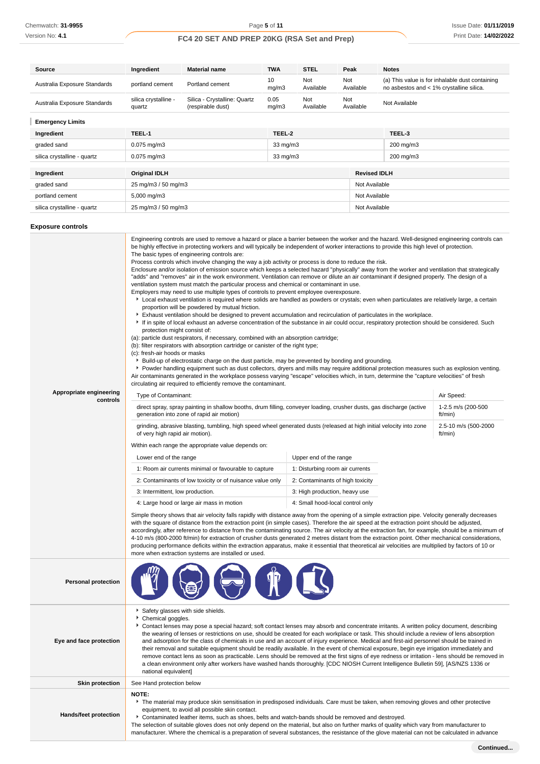| Source                       | Ingredient                     | <b>Material name</b>                              | <b>TWA</b>        | <b>STEL</b>             | Peak                | <b>Notes</b>                                                                                |  |
|------------------------------|--------------------------------|---------------------------------------------------|-------------------|-------------------------|---------------------|---------------------------------------------------------------------------------------------|--|
| Australia Exposure Standards | portland cement                | Portland cement                                   | 10<br>mg/m3       | <b>Not</b><br>Available | Not<br>Available    | (a) This value is for inhalable dust containing<br>no asbestos and < 1% crystalline silica. |  |
| Australia Exposure Standards | silica crystalline -<br>quartz | Silica - Crystalline: Quartz<br>(respirable dust) | 0.05<br>mg/m3     | <b>Not</b><br>Available | Not<br>Available    | Not Available                                                                               |  |
| <b>Emergency Limits</b>      |                                |                                                   |                   |                         |                     |                                                                                             |  |
| Ingredient                   | TEEL-1                         |                                                   | TEEL-2            |                         |                     | TEEL-3                                                                                      |  |
| graded sand                  | $0.075$ mg/m $3$               |                                                   | $33 \text{ mg/m}$ |                         |                     | 200 mg/m3                                                                                   |  |
| silica crystalline - quartz  | $0.075$ mg/m3                  |                                                   | 33 mg/m3          |                         |                     | 200 mg/m3                                                                                   |  |
|                              |                                |                                                   |                   |                         |                     |                                                                                             |  |
| Ingredient                   | <b>Original IDLH</b>           |                                                   |                   |                         | <b>Revised IDLH</b> |                                                                                             |  |
| graded sand                  |                                | 25 mg/m3 / 50 mg/m3                               |                   |                         |                     | Not Available                                                                               |  |
| portland cement              | 5,000 mg/m3                    |                                                   |                   |                         |                     | Not Available                                                                               |  |
| silica crystalline - quartz  |                                | 25 mg/m3 / 50 mg/m3                               |                   |                         |                     | Not Available                                                                               |  |

### **Exposure controls**

| Appropriate engineering<br>controls | The basic types of engineering controls are:<br>Process controls which involve changing the way a job activity or process is done to reduce the risk.<br>Enclosure and/or isolation of emission source which keeps a selected hazard "physically" away from the worker and ventilation that strategically<br>"adds" and "removes" air in the work environment. Ventilation can remove or dilute an air contaminant if designed properly. The design of a<br>ventilation system must match the particular process and chemical or contaminant in use.<br>Employers may need to use multiple types of controls to prevent employee overexposure.<br>Local exhaust ventilation is required where solids are handled as powders or crystals; even when particulates are relatively large, a certain<br>proportion will be powdered by mutual friction.<br>Exhaust ventilation should be designed to prevent accumulation and recirculation of particulates in the workplace.<br>If in spite of local exhaust an adverse concentration of the substance in air could occur, respiratory protection should be considered. Such<br>protection might consist of:<br>(a): particle dust respirators, if necessary, combined with an absorption cartridge;<br>(b): filter respirators with absorption cartridge or canister of the right type;<br>(c): fresh-air hoods or masks<br>Example 1 Build-up of electrostatic charge on the dust particle, may be prevented by bonding and grounding.<br>• Powder handling equipment such as dust collectors, dryers and mills may require additional protection measures such as explosion venting.<br>Air contaminants generated in the workplace possess varying "escape" velocities which, in turn, determine the "capture velocities" of fresh<br>circulating air required to efficiently remove the contaminant.<br>Air Speed:<br>Type of Contaminant:<br>direct spray, spray painting in shallow booths, drum filling, conveyer loading, crusher dusts, gas discharge (active<br>1-2.5 m/s (200-500<br>generation into zone of rapid air motion)<br>ft/min)<br>grinding, abrasive blasting, tumbling, high speed wheel generated dusts (released at high initial velocity into zone<br>2.5-10 m/s (500-2000<br>of very high rapid air motion).<br>ft/min)<br>Within each range the appropriate value depends on:<br>Upper end of the range<br>Lower end of the range<br>1: Room air currents minimal or favourable to capture<br>1: Disturbing room air currents<br>2: Contaminants of low toxicity or of nuisance value only<br>2: Contaminants of high toxicity<br>3: Intermittent, low production.<br>3: High production, heavy use<br>4: Large hood or large air mass in motion<br>4: Small hood-local control only<br>Simple theory shows that air velocity falls rapidly with distance away from the opening of a simple extraction pipe. Velocity generally decreases<br>with the square of distance from the extraction point (in simple cases). Therefore the air speed at the extraction point should be adjusted,<br>accordingly, after reference to distance from the contaminating source. The air velocity at the extraction fan, for example, should be a minimum of<br>4-10 m/s (800-2000 ft/min) for extraction of crusher dusts generated 2 metres distant from the extraction point. Other mechanical considerations, |  |  |  |  |
|-------------------------------------|--------------------------------------------------------------------------------------------------------------------------------------------------------------------------------------------------------------------------------------------------------------------------------------------------------------------------------------------------------------------------------------------------------------------------------------------------------------------------------------------------------------------------------------------------------------------------------------------------------------------------------------------------------------------------------------------------------------------------------------------------------------------------------------------------------------------------------------------------------------------------------------------------------------------------------------------------------------------------------------------------------------------------------------------------------------------------------------------------------------------------------------------------------------------------------------------------------------------------------------------------------------------------------------------------------------------------------------------------------------------------------------------------------------------------------------------------------------------------------------------------------------------------------------------------------------------------------------------------------------------------------------------------------------------------------------------------------------------------------------------------------------------------------------------------------------------------------------------------------------------------------------------------------------------------------------------------------------------------------------------------------------------------------------------------------------------------------------------------------------------------------------------------------------------------------------------------------------------------------------------------------------------------------------------------------------------------------------------------------------------------------------------------------------------------------------------------------------------------------------------------------------------------------------------------------------------------------------------------------------------------------------------------------------------------------------------------------------------------------------------------------------------------------------------------------------------------------------------------------------------------------------------------------------------------------------------------------------------------------------------------------------------------------------------------------------------------------------------------------------------------------------------------------------------------------------------------------------------------------------------------------------------------------------------------------------------------------------------------------------------------------|--|--|--|--|
| <b>Personal protection</b>          |                                                                                                                                                                                                                                                                                                                                                                                                                                                                                                                                                                                                                                                                                                                                                                                                                                                                                                                                                                                                                                                                                                                                                                                                                                                                                                                                                                                                                                                                                                                                                                                                                                                                                                                                                                                                                                                                                                                                                                                                                                                                                                                                                                                                                                                                                                                                                                                                                                                                                                                                                                                                                                                                                                                                                                                                                                                                                                                                                                                                                                                                                                                                                                                                                                                                                                                                                                                |  |  |  |  |
| Eye and face protection             | Safety glasses with side shields.<br>Chemical goggles.<br>Contact lenses may pose a special hazard; soft contact lenses may absorb and concentrate irritants. A written policy document, describing<br>the wearing of lenses or restrictions on use, should be created for each workplace or task. This should include a review of lens absorption<br>and adsorption for the class of chemicals in use and an account of injury experience. Medical and first-aid personnel should be trained in<br>their removal and suitable equipment should be readily available. In the event of chemical exposure, begin eye irrigation immediately and<br>remove contact lens as soon as practicable. Lens should be removed at the first signs of eye redness or irritation - lens should be removed in<br>a clean environment only after workers have washed hands thoroughly. [CDC NIOSH Current Intelligence Bulletin 59], [AS/NZS 1336 or<br>national equivalent]                                                                                                                                                                                                                                                                                                                                                                                                                                                                                                                                                                                                                                                                                                                                                                                                                                                                                                                                                                                                                                                                                                                                                                                                                                                                                                                                                                                                                                                                                                                                                                                                                                                                                                                                                                                                                                                                                                                                                                                                                                                                                                                                                                                                                                                                                                                                                                                                                  |  |  |  |  |
| <b>Skin protection</b>              | See Hand protection below                                                                                                                                                                                                                                                                                                                                                                                                                                                                                                                                                                                                                                                                                                                                                                                                                                                                                                                                                                                                                                                                                                                                                                                                                                                                                                                                                                                                                                                                                                                                                                                                                                                                                                                                                                                                                                                                                                                                                                                                                                                                                                                                                                                                                                                                                                                                                                                                                                                                                                                                                                                                                                                                                                                                                                                                                                                                                                                                                                                                                                                                                                                                                                                                                                                                                                                                                      |  |  |  |  |
| <b>Hands/feet protection</b>        | NOTE:<br>The material may produce skin sensitisation in predisposed individuals. Care must be taken, when removing gloves and other protective<br>equipment, to avoid all possible skin contact.<br>▶ Contaminated leather items, such as shoes, belts and watch-bands should be removed and destroyed.<br>The selection of suitable gloves does not only depend on the material, but also on further marks of quality which vary from manufacturer to                                                                                                                                                                                                                                                                                                                                                                                                                                                                                                                                                                                                                                                                                                                                                                                                                                                                                                                                                                                                                                                                                                                                                                                                                                                                                                                                                                                                                                                                                                                                                                                                                                                                                                                                                                                                                                                                                                                                                                                                                                                                                                                                                                                                                                                                                                                                                                                                                                                                                                                                                                                                                                                                                                                                                                                                                                                                                                                         |  |  |  |  |

manufacturer. Where the chemical is a preparation of several substances, the resistance of the glove material can not be calculated in advance

**Continued...**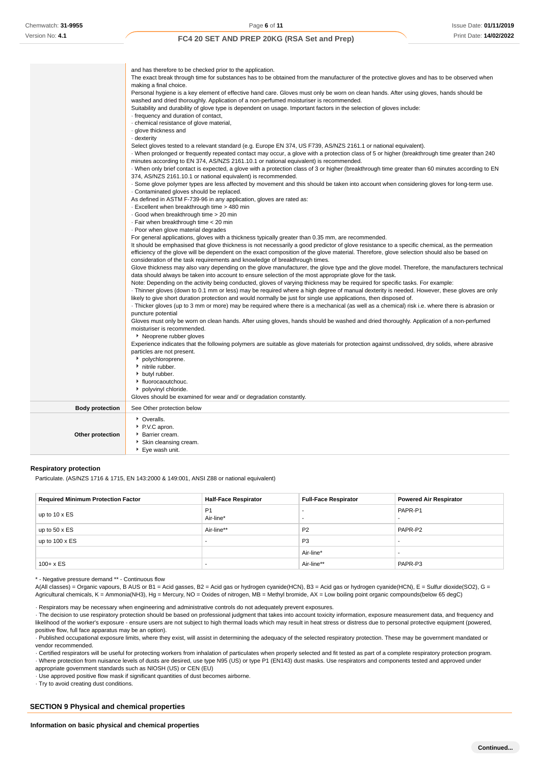|                        | and has therefore to be checked prior to the application.<br>The exact break through time for substances has to be obtained from the manufacturer of the protective gloves and has to be observed when<br>making a final choice.<br>Personal hygiene is a key element of effective hand care. Gloves must only be worn on clean hands. After using gloves, hands should be<br>washed and dried thoroughly. Application of a non-perfumed moisturiser is recommended.<br>Suitability and durability of glove type is dependent on usage. Important factors in the selection of gloves include:<br>frequency and duration of contact,<br>chemical resistance of glove material,<br>· glove thickness and<br>- dexterity<br>Select gloves tested to a relevant standard (e.g. Europe EN 374, US F739, AS/NZS 2161.1 or national equivalent).<br>When prolonged or frequently repeated contact may occur, a glove with a protection class of 5 or higher (breakthrough time greater than 240<br>minutes according to EN 374, AS/NZS 2161.10.1 or national equivalent) is recommended.<br>· When only brief contact is expected, a glove with a protection class of 3 or higher (breakthrough time greater than 60 minutes according to EN<br>374, AS/NZS 2161.10.1 or national equivalent) is recommended.<br>. Some glove polymer types are less affected by movement and this should be taken into account when considering gloves for long-term use.<br>. Contaminated gloves should be replaced.<br>As defined in ASTM F-739-96 in any application, gloves are rated as:<br>. Excellent when breakthrough time > 480 min<br>Good when breakthrough time > 20 min<br>· Fair when breakthrough time < 20 min<br>. Poor when glove material degrades<br>For general applications, gloves with a thickness typically greater than 0.35 mm, are recommended.<br>It should be emphasised that glove thickness is not necessarily a good predictor of glove resistance to a specific chemical, as the permeation<br>efficiency of the glove will be dependent on the exact composition of the glove material. Therefore, glove selection should also be based on<br>consideration of the task requirements and knowledge of breakthrough times.<br>Glove thickness may also vary depending on the glove manufacturer, the glove type and the glove model. Therefore, the manufacturers technical<br>data should always be taken into account to ensure selection of the most appropriate glove for the task.<br>Note: Depending on the activity being conducted, gloves of varying thickness may be required for specific tasks. For example:<br>Thinner gloves (down to 0.1 mm or less) may be required where a high degree of manual dexterity is needed. However, these gloves are only<br>likely to give short duration protection and would normally be just for single use applications, then disposed of.<br>Thicker gloves (up to 3 mm or more) may be required where there is a mechanical (as well as a chemical) risk i.e. where there is abrasion or<br>puncture potential<br>Gloves must only be worn on clean hands. After using gloves, hands should be washed and dried thoroughly. Application of a non-perfumed<br>moisturiser is recommended.<br>▶ Neoprene rubber gloves<br>Experience indicates that the following polymers are suitable as glove materials for protection against undissolved, dry solids, where abrasive<br>particles are not present.<br>polychloroprene.<br>• nitrile rubber.<br>butyl rubber.<br>• fluorocaoutchouc.<br>polyvinyl chloride. |
|------------------------|--------------------------------------------------------------------------------------------------------------------------------------------------------------------------------------------------------------------------------------------------------------------------------------------------------------------------------------------------------------------------------------------------------------------------------------------------------------------------------------------------------------------------------------------------------------------------------------------------------------------------------------------------------------------------------------------------------------------------------------------------------------------------------------------------------------------------------------------------------------------------------------------------------------------------------------------------------------------------------------------------------------------------------------------------------------------------------------------------------------------------------------------------------------------------------------------------------------------------------------------------------------------------------------------------------------------------------------------------------------------------------------------------------------------------------------------------------------------------------------------------------------------------------------------------------------------------------------------------------------------------------------------------------------------------------------------------------------------------------------------------------------------------------------------------------------------------------------------------------------------------------------------------------------------------------------------------------------------------------------------------------------------------------------------------------------------------------------------------------------------------------------------------------------------------------------------------------------------------------------------------------------------------------------------------------------------------------------------------------------------------------------------------------------------------------------------------------------------------------------------------------------------------------------------------------------------------------------------------------------------------------------------------------------------------------------------------------------------------------------------------------------------------------------------------------------------------------------------------------------------------------------------------------------------------------------------------------------------------------------------------------------------------------------------------------------------------------------------------------------------------------------------------------------------------------------------------------------------------------------------------------------------------------------------------------------------------------------------------------------------------------------------------------------------------------------------------------------------------------------------------------------------------------------------------------------------------------|
| <b>Body protection</b> | Gloves should be examined for wear and/ or degradation constantly.<br>See Other protection below                                                                                                                                                                                                                                                                                                                                                                                                                                                                                                                                                                                                                                                                                                                                                                                                                                                                                                                                                                                                                                                                                                                                                                                                                                                                                                                                                                                                                                                                                                                                                                                                                                                                                                                                                                                                                                                                                                                                                                                                                                                                                                                                                                                                                                                                                                                                                                                                                                                                                                                                                                                                                                                                                                                                                                                                                                                                                                                                                                                                                                                                                                                                                                                                                                                                                                                                                                                                                                                                               |
|                        | • Overalls.                                                                                                                                                                                                                                                                                                                                                                                                                                                                                                                                                                                                                                                                                                                                                                                                                                                                                                                                                                                                                                                                                                                                                                                                                                                                                                                                                                                                                                                                                                                                                                                                                                                                                                                                                                                                                                                                                                                                                                                                                                                                                                                                                                                                                                                                                                                                                                                                                                                                                                                                                                                                                                                                                                                                                                                                                                                                                                                                                                                                                                                                                                                                                                                                                                                                                                                                                                                                                                                                                                                                                                    |
| Other protection       | P.V.C apron.<br>Barrier cream.<br>Skin cleansing cream.<br>▶ Eye wash unit.                                                                                                                                                                                                                                                                                                                                                                                                                                                                                                                                                                                                                                                                                                                                                                                                                                                                                                                                                                                                                                                                                                                                                                                                                                                                                                                                                                                                                                                                                                                                                                                                                                                                                                                                                                                                                                                                                                                                                                                                                                                                                                                                                                                                                                                                                                                                                                                                                                                                                                                                                                                                                                                                                                                                                                                                                                                                                                                                                                                                                                                                                                                                                                                                                                                                                                                                                                                                                                                                                                    |

#### **Respiratory protection**

Particulate. (AS/NZS 1716 & 1715, EN 143:2000 & 149:001, ANSI Z88 or national equivalent)

| <b>Required Minimum Protection Factor</b> | <b>Half-Face Respirator</b> | <b>Full-Face Respirator</b> | <b>Powered Air Respirator</b> |
|-------------------------------------------|-----------------------------|-----------------------------|-------------------------------|
| up to $10 \times ES$                      | P <sub>1</sub><br>Air-line* | -<br>-                      | PAPR-P1                       |
| up to $50 \times ES$                      | Air-line**                  | P <sub>2</sub>              | PAPR-P2                       |
| up to $100 \times ES$                     | -                           | P <sub>3</sub>              |                               |
|                                           |                             | Air-line*                   |                               |
| $100 + x ES$                              |                             | Air-line**                  | PAPR-P3                       |

\* - Negative pressure demand \*\* - Continuous flow

A(All classes) = Organic vapours, B AUS or B1 = Acid gasses, B2 = Acid gas or hydrogen cyanide(HCN), B3 = Acid gas or hydrogen cyanide(HCN), E = Sulfur dioxide(SO2), G = Agricultural chemicals, K = Ammonia(NH3), Hg = Mercury, NO = Oxides of nitrogen, MB = Methyl bromide, AX = Low boiling point organic compounds(below 65 degC)

· Respirators may be necessary when engineering and administrative controls do not adequately prevent exposures.

· The decision to use respiratory protection should be based on professional judgment that takes into account toxicity information, exposure measurement data, and frequency and likelihood of the worker's exposure - ensure users are not subject to high thermal loads which may result in heat stress or distress due to personal protective equipment (powered, positive flow, full face apparatus may be an option).

· Published occupational exposure limits, where they exist, will assist in determining the adequacy of the selected respiratory protection. These may be government mandated or vendor recommended.

· Certified respirators will be useful for protecting workers from inhalation of particulates when properly selected and fit tested as part of a complete respiratory protection program. · Where protection from nuisance levels of dusts are desired, use type N95 (US) or type P1 (EN143) dust masks. Use respirators and components tested and approved under appropriate government standards such as NIOSH (US) or CEN (EU)

· Use approved positive flow mask if significant quantities of dust becomes airborne.

· Try to avoid creating dust conditions.

### **SECTION 9 Physical and chemical properties**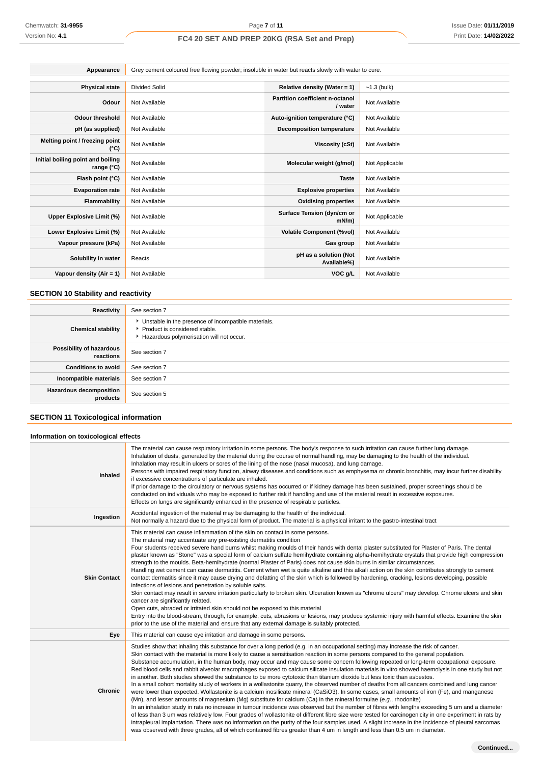| Appearance                                      | Grey cement coloured free flowing powder; insoluble in water but reacts slowly with water to cure. |                                            |                |  |  |
|-------------------------------------------------|----------------------------------------------------------------------------------------------------|--------------------------------------------|----------------|--|--|
|                                                 | <b>Divided Solid</b>                                                                               |                                            |                |  |  |
| <b>Physical state</b>                           |                                                                                                    | Relative density (Water = 1)               | $-1.3$ (bulk)  |  |  |
| Odour                                           | Not Available                                                                                      | Partition coefficient n-octanol<br>/ water | Not Available  |  |  |
| <b>Odour threshold</b>                          | Not Available                                                                                      | Auto-ignition temperature (°C)             | Not Available  |  |  |
| pH (as supplied)                                | Not Available                                                                                      | <b>Decomposition temperature</b>           | Not Available  |  |  |
| Melting point / freezing point<br>(°C)          | Not Available                                                                                      | Viscosity (cSt)                            | Not Available  |  |  |
| Initial boiling point and boiling<br>range (°C) | Not Available                                                                                      | Molecular weight (g/mol)                   | Not Applicable |  |  |
| Flash point (°C)                                | Not Available                                                                                      | <b>Taste</b>                               | Not Available  |  |  |
| <b>Evaporation rate</b>                         | Not Available                                                                                      | <b>Explosive properties</b>                | Not Available  |  |  |
| Flammability                                    | Not Available                                                                                      | <b>Oxidising properties</b>                | Not Available  |  |  |
| Upper Explosive Limit (%)                       | Not Available                                                                                      | Surface Tension (dyn/cm or<br>mN/m         | Not Applicable |  |  |
| Lower Explosive Limit (%)                       | Not Available                                                                                      | <b>Volatile Component (%vol)</b>           | Not Available  |  |  |
| Vapour pressure (kPa)                           | Not Available                                                                                      | Gas group                                  | Not Available  |  |  |
| Solubility in water                             | Reacts                                                                                             | pH as a solution (Not<br>Available%)       | Not Available  |  |  |
| Vapour density (Air = 1)                        | Not Available                                                                                      | VOC g/L                                    | Not Available  |  |  |

## **SECTION 10 Stability and reactivity**

| Reactivity                                 | See section 7                                                                                                                        |
|--------------------------------------------|--------------------------------------------------------------------------------------------------------------------------------------|
| <b>Chemical stability</b>                  | • Unstable in the presence of incompatible materials.<br>▶ Product is considered stable.<br>Hazardous polymerisation will not occur. |
| Possibility of hazardous<br>reactions      | See section 7                                                                                                                        |
| <b>Conditions to avoid</b>                 | See section 7                                                                                                                        |
| Incompatible materials                     | See section 7                                                                                                                        |
| <b>Hazardous decomposition</b><br>products | See section 5                                                                                                                        |

## **SECTION 11 Toxicological information**

## **Information on toxicological effects**

| Inhaled             | The material can cause respiratory irritation in some persons. The body's response to such irritation can cause further lung damage.<br>Inhalation of dusts, generated by the material during the course of normal handling, may be damaging to the health of the individual.<br>Inhalation may result in ulcers or sores of the lining of the nose (nasal mucosa), and lung damage.<br>Persons with impaired respiratory function, airway diseases and conditions such as emphysema or chronic bronchitis, may incur further disability<br>if excessive concentrations of particulate are inhaled.<br>If prior damage to the circulatory or nervous systems has occurred or if kidney damage has been sustained, proper screenings should be<br>conducted on individuals who may be exposed to further risk if handling and use of the material result in excessive exposures.<br>Effects on lungs are significantly enhanced in the presence of respirable particles.                                                                                                                                                                                                                                                                                                                                                                                                                                                                                                                                                                                                                                                                                                                                                  |
|---------------------|--------------------------------------------------------------------------------------------------------------------------------------------------------------------------------------------------------------------------------------------------------------------------------------------------------------------------------------------------------------------------------------------------------------------------------------------------------------------------------------------------------------------------------------------------------------------------------------------------------------------------------------------------------------------------------------------------------------------------------------------------------------------------------------------------------------------------------------------------------------------------------------------------------------------------------------------------------------------------------------------------------------------------------------------------------------------------------------------------------------------------------------------------------------------------------------------------------------------------------------------------------------------------------------------------------------------------------------------------------------------------------------------------------------------------------------------------------------------------------------------------------------------------------------------------------------------------------------------------------------------------------------------------------------------------------------------------------------------------|
| Ingestion           | Accidental ingestion of the material may be damaging to the health of the individual.<br>Not normally a hazard due to the physical form of product. The material is a physical irritant to the gastro-intestinal tract                                                                                                                                                                                                                                                                                                                                                                                                                                                                                                                                                                                                                                                                                                                                                                                                                                                                                                                                                                                                                                                                                                                                                                                                                                                                                                                                                                                                                                                                                                   |
| <b>Skin Contact</b> | This material can cause inflammation of the skin on contact in some persons.<br>The material may accentuate any pre-existing dermatitis condition<br>Four students received severe hand burns whilst making moulds of their hands with dental plaster substituted for Plaster of Paris. The dental<br>plaster known as "Stone" was a special form of calcium sulfate hemihydrate containing alpha-hemihydrate crystals that provide high compression<br>strength to the moulds. Beta-hemihydrate (normal Plaster of Paris) does not cause skin burns in similar circumstances.<br>Handling wet cement can cause dermatitis. Cement when wet is quite alkaline and this alkali action on the skin contributes strongly to cement<br>contact dermatitis since it may cause drying and defatting of the skin which is followed by hardening, cracking, lesions developing, possible<br>infections of lesions and penetration by soluble salts.<br>Skin contact may result in severe irritation particularly to broken skin. Ulceration known as "chrome ulcers" may develop. Chrome ulcers and skin<br>cancer are significantly related.<br>Open cuts, abraded or irritated skin should not be exposed to this material<br>Entry into the blood-stream, through, for example, cuts, abrasions or lesions, may produce systemic injury with harmful effects. Examine the skin<br>prior to the use of the material and ensure that any external damage is suitably protected.                                                                                                                                                                                                                                                 |
| Eye                 | This material can cause eye irritation and damage in some persons.                                                                                                                                                                                                                                                                                                                                                                                                                                                                                                                                                                                                                                                                                                                                                                                                                                                                                                                                                                                                                                                                                                                                                                                                                                                                                                                                                                                                                                                                                                                                                                                                                                                       |
| <b>Chronic</b>      | Studies show that inhaling this substance for over a long period (e.g. in an occupational setting) may increase the risk of cancer.<br>Skin contact with the material is more likely to cause a sensitisation reaction in some persons compared to the general population.<br>Substance accumulation, in the human body, may occur and may cause some concern following repeated or long-term occupational exposure.<br>Red blood cells and rabbit alveolar macrophages exposed to calcium silicate insulation materials in vitro showed haemolysis in one study but not<br>in another. Both studies showed the substance to be more cytotoxic than titanium dioxide but less toxic than asbestos.<br>In a small cohort mortality study of workers in a wollastonite quarry, the observed number of deaths from all cancers combined and lung cancer<br>were lower than expected. Wollastonite is a calcium inosilicate mineral (CaSiO3). In some cases, small amounts of iron (Fe), and manganese<br>(Mn), and lesser amounts of magnesium (Mg) substitute for calcium (Ca) in the mineral formulae (e.g., rhodonite)<br>In an inhalation study in rats no increase in tumour incidence was observed but the number of fibres with lengths exceeding 5 um and a diameter<br>of less than 3 um was relatively low. Four grades of wollastonite of different fibre size were tested for carcinogenicity in one experiment in rats by<br>intrapleural implantation. There was no information on the purity of the four samples used. A slight increase in the incidence of pleural sarcomas<br>was observed with three grades, all of which contained fibres greater than 4 um in length and less than 0.5 um in diameter. |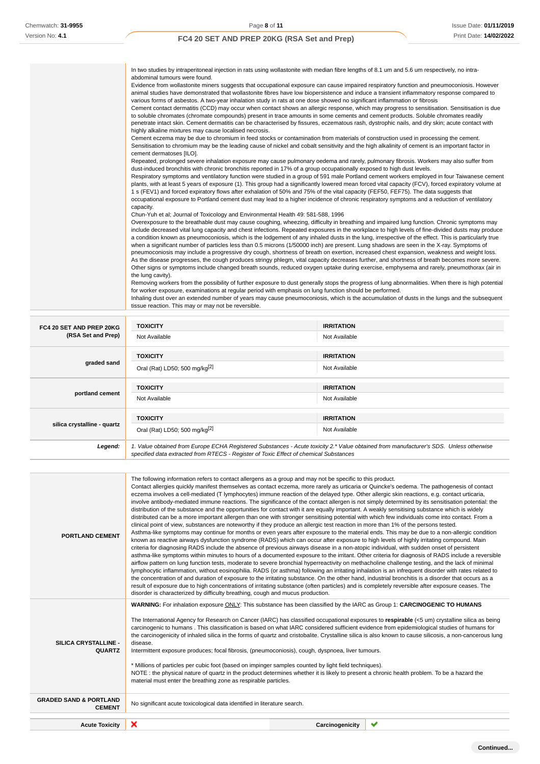| tissue reaction. This may or may not be reversible.                                                                                                                                                                                                                                                                                                                                                          |
|--------------------------------------------------------------------------------------------------------------------------------------------------------------------------------------------------------------------------------------------------------------------------------------------------------------------------------------------------------------------------------------------------------------|
| Removing workers from the possibility of further exposure to dust generally stops the progress of lung abnormalities. When there is high potential<br>for worker exposure, examinations at regular period with emphasis on lung function should be performed.<br>Inhaling dust over an extended number of years may cause pneumoconiosis, which is the accumulation of dusts in the lungs and the subsequent |
| the lung cavity).                                                                                                                                                                                                                                                                                                                                                                                            |
| As the disease progresses, the cough produces stringy phlegm, vital capacity decreases further, and shortness of breath becomes more severe.<br>Other signs or symptoms include changed breath sounds, reduced oxygen uptake during exercise, emphysema and rarely, pneumothorax (air in                                                                                                                     |
| pneumoconiosis may include a progressive dry cough, shortness of breath on exertion, increased chest expansion, weakness and weight loss.                                                                                                                                                                                                                                                                    |
| a condition known as pneumoconiosis, which is the lodgement of any inhaled dusts in the lung, irrespective of the effect. This is particularly true<br>when a significant number of particles less than 0.5 microns (1/50000 inch) are present. Lung shadows are seen in the X-ray. Symptoms of                                                                                                              |
| include decreased vital lung capacity and chest infections. Repeated exposures in the workplace to high levels of fine-divided dusts may produce                                                                                                                                                                                                                                                             |
| Chun-Yuh et al; Journal of Toxicology and Environmental Health 49: 581-588, 1996<br>Overexposure to the breathable dust may cause coughing, wheezing, difficulty in breathing and impaired lung function. Chronic symptoms may                                                                                                                                                                               |
| capacity.                                                                                                                                                                                                                                                                                                                                                                                                    |
| occupational exposure to Portland cement dust may lead to a higher incidence of chronic respiratory symptoms and a reduction of ventilatory                                                                                                                                                                                                                                                                  |
| plants, with at least 5 years of exposure (1). This group had a significantly lowered mean forced vital capacity (FCV), forced expiratory volume at<br>1 s (FEV1) and forced expiratory flows after exhalation of 50% and 75% of the vital capacity (FEF50, FEF75). The data suggests that                                                                                                                   |
| Respiratory symptoms and ventilatory function were studied in a group of 591 male Portland cement workers employed in four Taiwanese cement                                                                                                                                                                                                                                                                  |
| dust-induced bronchitis with chronic bronchitis reported in 17% of a group occupationally exposed to high dust levels.                                                                                                                                                                                                                                                                                       |
| Repeated, prolonged severe inhalation exposure may cause pulmonary oedema and rarely, pulmonary fibrosis. Workers may also suffer from                                                                                                                                                                                                                                                                       |
| Sensitisation to chromium may be the leading cause of nickel and cobalt sensitivity and the high alkalinity of cement is an important factor in<br>cement dermatoses [ILO].                                                                                                                                                                                                                                  |
| Cement eczema may be due to chromium in feed stocks or contamination from materials of construction used in processing the cement.                                                                                                                                                                                                                                                                           |
| highly alkaline mixtures may cause localised necrosis.                                                                                                                                                                                                                                                                                                                                                       |
| penetrate intact skin. Cement dermatitis can be characterised by fissures, eczematous rash, dystrophic nails, and dry skin; acute contact with                                                                                                                                                                                                                                                               |
| Cement contact dermatitis (CCD) may occur when contact shows an allergic response, which may progress to sensitisation. Sensitisation is due<br>to soluble chromates (chromate compounds) present in trace amounts in some cements and cement products. Soluble chromates readily                                                                                                                            |
| various forms of asbestos. A two-year inhalation study in rats at one dose showed no significant inflammation or fibrosis                                                                                                                                                                                                                                                                                    |
| animal studies have demonstrated that wollastonite fibres have low biopersistence and induce a transient inflammatory response compared to                                                                                                                                                                                                                                                                   |
| Evidence from wollastonite miners suggests that occupational exposure can cause impaired respiratory function and pneumoconiosis. However                                                                                                                                                                                                                                                                    |
| abdominal tumours were found.                                                                                                                                                                                                                                                                                                                                                                                |
| In two studies by intraperitoneal injection in rats using wollastonite with median fibre lengths of 8.1 um and 5.6 um respectively, no intra-                                                                                                                                                                                                                                                                |

| FC4 20 SET AND PREP 20KG<br>(RSA Set and Prep) | <b>TOXICITY</b>                                                                                                                                                                                                                 | <b>IRRITATION</b> |
|------------------------------------------------|---------------------------------------------------------------------------------------------------------------------------------------------------------------------------------------------------------------------------------|-------------------|
|                                                | Not Available                                                                                                                                                                                                                   | Not Available     |
|                                                | <b>TOXICITY</b>                                                                                                                                                                                                                 | <b>IRRITATION</b> |
| graded sand                                    | Oral (Rat) LD50; 500 mg/kg <sup>[2]</sup>                                                                                                                                                                                       | Not Available     |
| portland cement                                | <b>TOXICITY</b>                                                                                                                                                                                                                 | <b>IRRITATION</b> |
|                                                | Not Available                                                                                                                                                                                                                   | Not Available     |
|                                                | <b>TOXICITY</b>                                                                                                                                                                                                                 | <b>IRRITATION</b> |
| silica crystalline - quartz                    |                                                                                                                                                                                                                                 |                   |
|                                                | Oral (Rat) LD50; 500 mg/kg <sup>[2]</sup>                                                                                                                                                                                       | Not Available     |
| Legend:                                        | 1. Value obtained from Europe ECHA Registered Substances - Acute toxicity 2.* Value obtained from manufacturer's SDS. Unless otherwise<br>specified data extracted from RTECS - Register of Toxic Effect of chemical Substances |                   |

| <b>PORTLAND CEMENT</b>                                                                      | The following information refers to contact allergens as a group and may not be specific to this product.<br>Contact allergies quickly manifest themselves as contact eczema, more rarely as urticaria or Quincke's oedema. The pathogenesis of contact<br>eczema involves a cell-mediated (T lymphocytes) immune reaction of the delayed type. Other allergic skin reactions, e.g. contact urticaria,<br>involve antibody-mediated immune reactions. The significance of the contact allergen is not simply determined by its sensitisation potential: the<br>distribution of the substance and the opportunities for contact with it are equally important. A weakly sensitising substance which is widely<br>distributed can be a more important allergen than one with stronger sensitising potential with which few individuals come into contact. From a<br>clinical point of view, substances are noteworthy if they produce an allergic test reaction in more than 1% of the persons tested.<br>Asthma-like symptoms may continue for months or even years after exposure to the material ends. This may be due to a non-allergic condition<br>known as reactive airways dysfunction syndrome (RADS) which can occur after exposure to high levels of highly irritating compound. Main<br>criteria for diagnosing RADS include the absence of previous airways disease in a non-atopic individual, with sudden onset of persistent<br>asthma-like symptoms within minutes to hours of a documented exposure to the irritant. Other criteria for diagnosis of RADS include a reversible<br>airflow pattern on lung function tests, moderate to severe bronchial hyperreactivity on methacholine challenge testing, and the lack of minimal<br>lymphocytic inflammation, without eosinophilia. RADS (or asthma) following an irritating inhalation is an infrequent disorder with rates related to<br>the concentration of and duration of exposure to the irritating substance. On the other hand, industrial bronchitis is a disorder that occurs as a<br>result of exposure due to high concentrations of irritating substance (often particles) and is completely reversible after exposure ceases. The<br>disorder is characterized by difficulty breathing, cough and mucus production. |   |  |
|---------------------------------------------------------------------------------------------|-----------------------------------------------------------------------------------------------------------------------------------------------------------------------------------------------------------------------------------------------------------------------------------------------------------------------------------------------------------------------------------------------------------------------------------------------------------------------------------------------------------------------------------------------------------------------------------------------------------------------------------------------------------------------------------------------------------------------------------------------------------------------------------------------------------------------------------------------------------------------------------------------------------------------------------------------------------------------------------------------------------------------------------------------------------------------------------------------------------------------------------------------------------------------------------------------------------------------------------------------------------------------------------------------------------------------------------------------------------------------------------------------------------------------------------------------------------------------------------------------------------------------------------------------------------------------------------------------------------------------------------------------------------------------------------------------------------------------------------------------------------------------------------------------------------------------------------------------------------------------------------------------------------------------------------------------------------------------------------------------------------------------------------------------------------------------------------------------------------------------------------------------------------------------------------------------------------------------------------------------------------------------------------------------------|---|--|
| SILICA CRYSTALLINE -<br><b>QUARTZ</b><br><b>GRADED SAND &amp; PORTLAND</b><br><b>CEMENT</b> | WARNING: For inhalation exposure ONLY: This substance has been classified by the IARC as Group 1: CARCINOGENIC TO HUMANS<br>The International Agency for Research on Cancer (IARC) has classified occupational exposures to respirable (<5 um) crystalline silica as being<br>carcinogenic to humans. This classification is based on what IARC considered sufficient evidence from epidemiological studies of humans for<br>the carcinogenicity of inhaled silica in the forms of quartz and cristobalite. Crystalline silica is also known to cause silicosis, a non-cancerous lung<br>disease.<br>Intermittent exposure produces; focal fibrosis, (pneumoconiosis), cough, dyspnoea, liver tumours.<br>* Millions of particles per cubic foot (based on impinger samples counted by light field techniques).<br>NOTE: the physical nature of quartz in the product determines whether it is likely to present a chronic health problem. To be a hazard the<br>material must enter the breathing zone as respirable particles.<br>No significant acute toxicological data identified in literature search.                                                                                                                                                                                                                                                                                                                                                                                                                                                                                                                                                                                                                                                                                                                                                                                                                                                                                                                                                                                                                                                                                                                                                                                        |   |  |
|                                                                                             |                                                                                                                                                                                                                                                                                                                                                                                                                                                                                                                                                                                                                                                                                                                                                                                                                                                                                                                                                                                                                                                                                                                                                                                                                                                                                                                                                                                                                                                                                                                                                                                                                                                                                                                                                                                                                                                                                                                                                                                                                                                                                                                                                                                                                                                                                                     |   |  |
| <b>Acute Toxicity</b>                                                                       | ×<br>Carcinogenicity                                                                                                                                                                                                                                                                                                                                                                                                                                                                                                                                                                                                                                                                                                                                                                                                                                                                                                                                                                                                                                                                                                                                                                                                                                                                                                                                                                                                                                                                                                                                                                                                                                                                                                                                                                                                                                                                                                                                                                                                                                                                                                                                                                                                                                                                                | ✔ |  |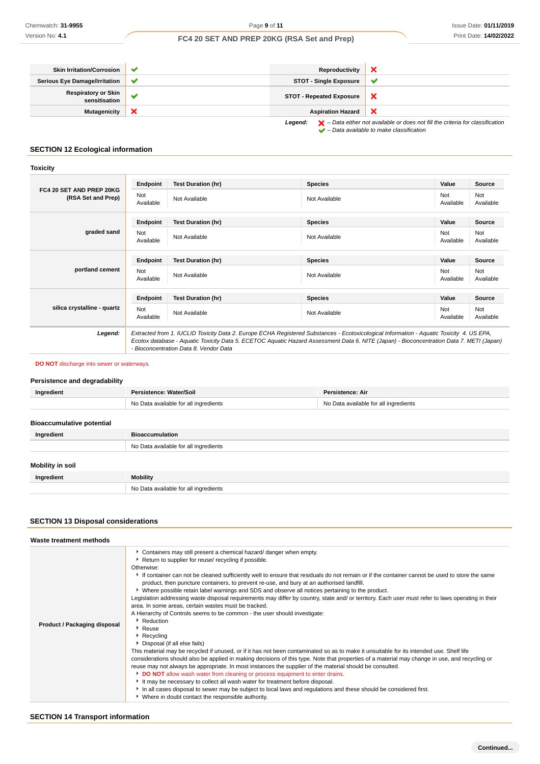| <b>Skin Irritation/Corrosion</b>            | $\checkmark$ | Reproductivity                  |                                                                                                    |
|---------------------------------------------|--------------|---------------------------------|----------------------------------------------------------------------------------------------------|
| <b>Serious Eye Damage/Irritation</b>        | $\checkmark$ | <b>STOT - Single Exposure</b>   | $\sim$                                                                                             |
| <b>Respiratory or Skin</b><br>sensitisation |              | <b>STOT - Repeated Exposure</b> | ◠                                                                                                  |
| <b>Mutagenicity</b>                         | ж            | <b>Aspiration Hazard</b>        | х                                                                                                  |
|                                             |              | Legend:                         | $\blacktriangleright$ - Data either not available or does not fill the criteria for classification |

– Data available to make classification

## **SECTION 12 Ecological information**

## **Toxicity**

| FC4 20 SET AND PREP 20KG<br>(RSA Set and Prep) | Endpoint                                                                                                                                                                                                                                                                                                                       | <b>Test Duration (hr)</b> | <b>Species</b> | Value            | <b>Source</b>    |
|------------------------------------------------|--------------------------------------------------------------------------------------------------------------------------------------------------------------------------------------------------------------------------------------------------------------------------------------------------------------------------------|---------------------------|----------------|------------------|------------------|
|                                                | Not<br>Available                                                                                                                                                                                                                                                                                                               | Not Available             | Not Available  | Not<br>Available | Not<br>Available |
|                                                | Endpoint                                                                                                                                                                                                                                                                                                                       | <b>Test Duration (hr)</b> | <b>Species</b> | Value            | Source           |
| graded sand                                    | Not<br>Available                                                                                                                                                                                                                                                                                                               | Not Available             | Not Available  | Not<br>Available | Not<br>Available |
| portland cement                                | Endpoint                                                                                                                                                                                                                                                                                                                       | <b>Test Duration (hr)</b> | <b>Species</b> | Value            | Source           |
|                                                | Not<br>Available                                                                                                                                                                                                                                                                                                               | Not Available             | Not Available  | Not<br>Available | Not<br>Available |
|                                                | Endpoint                                                                                                                                                                                                                                                                                                                       | <b>Test Duration (hr)</b> | <b>Species</b> | Value            | Source           |
| silica crystalline - quartz                    | Not<br>Available                                                                                                                                                                                                                                                                                                               | Not Available             | Not Available  | Not<br>Available | Not<br>Available |
| Legend:                                        | Extracted from 1. IUCLID Toxicity Data 2. Europe ECHA Registered Substances - Ecotoxicological Information - Aquatic Toxicity 4. US EPA,<br>Ecotox database - Aquatic Toxicity Data 5. ECETOC Aquatic Hazard Assessment Data 6. NITE (Japan) - Bioconcentration Data 7. METI (Japan)<br>- Bioconcentration Data 8. Vendor Data |                           |                |                  |                  |

#### **DO NOT** discharge into sewer or waterways.

# **Persistence and degradability Ingredient Persistence: Water/Soil Persistence: Air** No Data available for all ingredients No Data available for all ingredients

## **Bioaccumulative potential**

| Ingredient       | <b>Bioaccumulation</b>                |
|------------------|---------------------------------------|
|                  | No Data available for all ingredients |
| Mobility in soil |                                       |
| Ingredient       | <b>Mobility</b>                       |
|                  | No Data available for all ingredients |

## **SECTION 13 Disposal considerations**

| Containers may still present a chemical hazard/ danger when empty.<br>▶ Return to supplier for reuse/ recycling if possible.<br>Otherwise:<br>If container can not be cleaned sufficiently well to ensure that residuals do not remain or if the container cannot be used to store the same<br>product, then puncture containers, to prevent re-use, and bury at an authorised landfill.<br>▶ Where possible retain label warnings and SDS and observe all notices pertaining to the product.<br>Legislation addressing waste disposal requirements may differ by country, state and/ or territory. Each user must refer to laws operating in their<br>area. In some areas, certain wastes must be tracked.<br>A Hierarchy of Controls seems to be common - the user should investigate:<br>▶ Reduction<br>Product / Packaging disposal<br><sup>•</sup> Reuse<br>Recycling<br>Disposal (if all else fails)<br>This material may be recycled if unused, or if it has not been contaminated so as to make it unsuitable for its intended use. Shelf life<br>considerations should also be applied in making decisions of this type. Note that properties of a material may change in use, and recycling or<br>reuse may not always be appropriate. In most instances the supplier of the material should be consulted.<br>DO NOT allow wash water from cleaning or process equipment to enter drains.<br>It may be necessary to collect all wash water for treatment before disposal. | Waste treatment methods |                                                                                                                   |
|-------------------------------------------------------------------------------------------------------------------------------------------------------------------------------------------------------------------------------------------------------------------------------------------------------------------------------------------------------------------------------------------------------------------------------------------------------------------------------------------------------------------------------------------------------------------------------------------------------------------------------------------------------------------------------------------------------------------------------------------------------------------------------------------------------------------------------------------------------------------------------------------------------------------------------------------------------------------------------------------------------------------------------------------------------------------------------------------------------------------------------------------------------------------------------------------------------------------------------------------------------------------------------------------------------------------------------------------------------------------------------------------------------------------------------------------------------------------------------------|-------------------------|-------------------------------------------------------------------------------------------------------------------|
| ▶ Where in doubt contact the responsible authority.                                                                                                                                                                                                                                                                                                                                                                                                                                                                                                                                                                                                                                                                                                                                                                                                                                                                                                                                                                                                                                                                                                                                                                                                                                                                                                                                                                                                                                 |                         | In all cases disposal to sewer may be subject to local laws and regulations and these should be considered first. |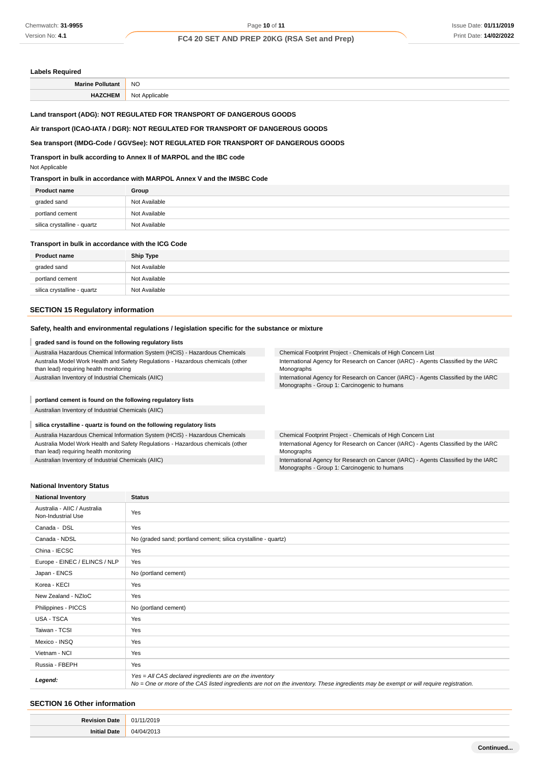#### **Labels Required**

| NC.<br>$\sim$ |
|---------------|
|               |

## **Land transport (ADG): NOT REGULATED FOR TRANSPORT OF DANGEROUS GOODS**

#### **Air transport (ICAO-IATA / DGR): NOT REGULATED FOR TRANSPORT OF DANGEROUS GOODS**

### **Sea transport (IMDG-Code / GGVSee): NOT REGULATED FOR TRANSPORT OF DANGEROUS GOODS**

**Transport in bulk according to Annex II of MARPOL and the IBC code**

Not Applicable

#### **Transport in bulk in accordance with MARPOL Annex V and the IMSBC Code**

| <b>Product name</b>         | Group         |
|-----------------------------|---------------|
| graded sand                 | Not Available |
| portland cement             | Not Available |
| silica crystalline - quartz | Not Available |
|                             |               |

#### **Transport in bulk in accordance with the ICG Code**

| <b>Product name</b>         | <b>Ship Type</b> |
|-----------------------------|------------------|
| graded sand                 | Not Available    |
| portland cement             | Not Available    |
| silica crystalline - quartz | Not Available    |

### **SECTION 15 Regulatory information**

#### **Safety, health and environmental regulations / legislation specific for the substance or mixture**

#### **graded sand is found on the following regulatory lists**

| Australia Hazardous Chemical Information System (HCIS) - Hazardous Chemicals                                              | Chemical Footprint Project - Chemicals of High Concern List                                                                        |
|---------------------------------------------------------------------------------------------------------------------------|------------------------------------------------------------------------------------------------------------------------------------|
| Australia Model Work Health and Safety Regulations - Hazardous chemicals (other<br>than lead) requiring health monitoring | International Agency for Research on Cancer (IARC) - Agents Classified by the IARC<br>Monographs                                   |
| Australian Inventory of Industrial Chemicals (AIIC)                                                                       | International Agency for Research on Cancer (IARC) - Agents Classified by the IARC<br>Monographs - Group 1: Carcinogenic to humans |
| portland cement is found on the following regulatory lists                                                                |                                                                                                                                    |

Australian Inventory of Industrial Chemicals (AIIC)

#### **silica crystalline - quartz is found on the following regulatory lists**

Australia Hazardous Chemical Information System (HCIS) - Hazardous Chemicals Australia Model Work Health and Safety Regulations - Hazardous chemicals (other than lead) requiring health monitoring

Australian Inventory of Industrial Chemicals (AIIC)

Chemical Footprint Project - Chemicals of High Concern List International Agency for Research on Cancer (IARC) - Agents Classified by the IARC Monographs

International Agency for Research on Cancer (IARC) - Agents Classified by the IARC Monographs - Group 1: Carcinogenic to humans

#### **National Inventory Status**

| <b>National Inventory</b>                          | <b>Status</b>                                                                                                                                                                                     |  |  |
|----------------------------------------------------|---------------------------------------------------------------------------------------------------------------------------------------------------------------------------------------------------|--|--|
| Australia - AIIC / Australia<br>Non-Industrial Use | Yes                                                                                                                                                                                               |  |  |
| Canada - DSL                                       | Yes                                                                                                                                                                                               |  |  |
| Canada - NDSL                                      | No (graded sand; portland cement; silica crystalline - quartz)                                                                                                                                    |  |  |
| China - IECSC                                      | Yes                                                                                                                                                                                               |  |  |
| Europe - EINEC / ELINCS / NLP                      | Yes                                                                                                                                                                                               |  |  |
| Japan - ENCS                                       | No (portland cement)                                                                                                                                                                              |  |  |
| Korea - KECI                                       | Yes                                                                                                                                                                                               |  |  |
| New Zealand - NZIoC                                | Yes                                                                                                                                                                                               |  |  |
| Philippines - PICCS                                | No (portland cement)                                                                                                                                                                              |  |  |
| USA - TSCA                                         | Yes                                                                                                                                                                                               |  |  |
| Taiwan - TCSI                                      | Yes                                                                                                                                                                                               |  |  |
| Mexico - INSQ                                      | Yes                                                                                                                                                                                               |  |  |
| Vietnam - NCI                                      | Yes                                                                                                                                                                                               |  |  |
| Russia - FBEPH                                     | Yes                                                                                                                                                                                               |  |  |
| Legend:                                            | Yes = All CAS declared ingredients are on the inventory<br>No = One or more of the CAS listed ingredients are not on the inventory. These ingredients may be exempt or will require registration. |  |  |

#### **SECTION 16 Other information**

| ገ1.                   |
|-----------------------|
| $3^{\prime}$<br>04/04 |